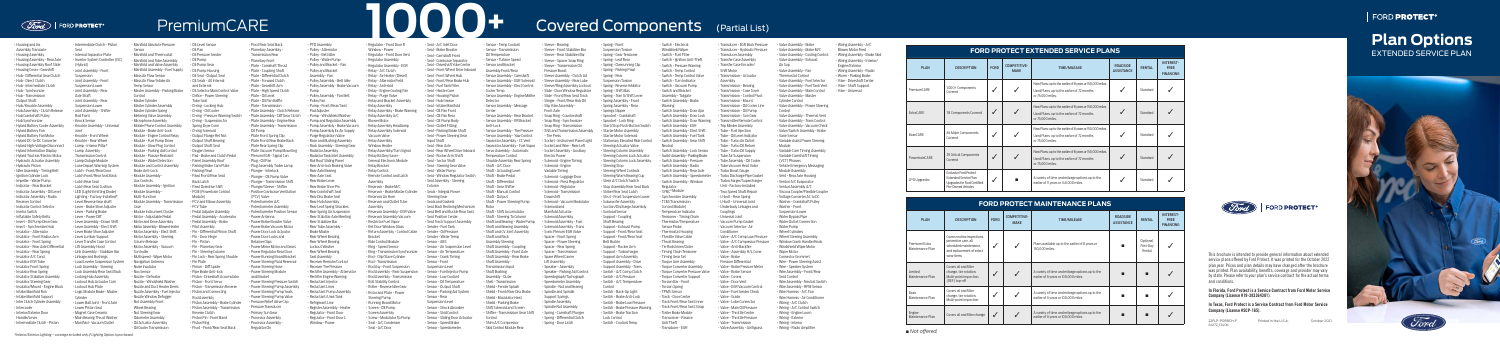| <b>PLAN</b>      | <b>DESCRIPTION</b>                                                                                                     |  |  |  |  |
|------------------|------------------------------------------------------------------------------------------------------------------------|--|--|--|--|
| PremiumCARE      | 1,000+ Components<br>Covered                                                                                           |  |  |  |  |
| <b>ExtraCARE</b> | 113 Components Cover                                                                                                   |  |  |  |  |
| <b>BaseCARE</b>  | 84 Major Components<br>Covered                                                                                         |  |  |  |  |
| PowertrainCARE   | 29 Critical Components<br>Covered                                                                                      |  |  |  |  |
| CPO Upgrades     | <b>Exclusive Ford Protect</b><br><b>Extended Service Plan</b><br><b>Upgrades for Ford Certif</b><br>Pre-Owned Vehicles |  |  |  |  |
|                  |                                                                                                                        |  |  |  |  |

■ *Not offered.* 

| <b>FORD PROTECT EXTENDED SERVICE PLANS</b> |                                                                                                                    |             |                                    |                                                                                                                             |                                      |               |                                                     |  |
|--------------------------------------------|--------------------------------------------------------------------------------------------------------------------|-------------|------------------------------------|-----------------------------------------------------------------------------------------------------------------------------|--------------------------------------|---------------|-----------------------------------------------------|--|
| <b>PLAN</b>                                | <b>DESCRIPTION</b>                                                                                                 | <b>FORD</b> | <b>COMPETITIVE-</b><br><b>MAKE</b> | <b>TIME/MILEAGE</b>                                                                                                         | <b>ROADSIDE</b><br><b>ASSISTANCE</b> | <b>RENTAL</b> | <b>INTEREST-</b><br><b>FREE</b><br><b>FINANCING</b> |  |
| PremiumCARE                                | 1,000+ Components<br>Covered                                                                                       |             | ✔                                  | New Plans: up to the earlier of 8 years or 150,000 miles.<br>Used Plans: up to the earlier of 72 months<br>or 75.000 miles. |                                      | Standard      |                                                     |  |
| <b>ExtraCARE</b>                           | 113 Components Covered                                                                                             | ✓           |                                    | New Plans: up to the earlier of 8 years or 150,000 miles.<br>Used Plans: up to the earlier of 72 months<br>or 75.000 miles. |                                      | Standard      |                                                     |  |
| <b>BaseCARE</b>                            | 84 Major Components<br>Covered                                                                                     | ✔           |                                    | New Plans: up to the earlier of 8 years or 150,000 miles.<br>Used Plans: up to the earlier of 72 months<br>or 75,000 miles. |                                      | Standard      |                                                     |  |
| PowertrainCARE                             | 29 Critical Components<br>Covered                                                                                  | ✓           |                                    | New Plans: up to the earlier of 8 years or 150,000 miles.<br>Used Plans: up to the earlier of 72 months<br>or 75,000 miles. |                                      | Standard      |                                                     |  |
| <b>CPO Upgrades</b>                        | <b>Exclusive Ford Protect</b><br><b>Extended Service Plan</b><br>Upgrades for Ford Certified<br>Pre-Owned Vehicles | ✔           |                                    | A variety of time and mileage options up to the<br>earlier of 11 years or 140,000 miles.                                    |                                      | Standard      |                                                     |  |

## **FOR PROTECT MAINTENANCE PLA**



| FURD PRUTECT MAINTENANCE PLANS    |                                                                                                                          |              |                                    |                                                                                         |                                      |                                 |                                                     |
|-----------------------------------|--------------------------------------------------------------------------------------------------------------------------|--------------|------------------------------------|-----------------------------------------------------------------------------------------|--------------------------------------|---------------------------------|-----------------------------------------------------|
| <b>PLAN</b>                       | <b>DESCRIPTION</b>                                                                                                       | <b>FORD</b>  | <b>COMPETITIVE-</b><br><b>MAKE</b> | <b>TIME/MILEAGE</b>                                                                     | <b>ROADSIDE</b><br><b>ASSISTANCE</b> | <b>RENTAL</b>                   | <b>INTEREST-</b><br><b>FREE</b><br><b>FINANCING</b> |
| Premium/Extra<br>Maintenance Plan | Covers routine inspections,<br>preventive care, all<br>scheduled maintenance.<br>and replacement of select<br>wear items | $\checkmark$ |                                    | Plans available up to the earlier of 8 years or<br>150.000 miles.                       | п                                    | Optional<br>First-Day<br>Rental |                                                     |
| Limited<br>Maintenance Plan       | Covers oil and filter<br>change, tire rotation,<br>Multi-point inspection,<br>(DEF) top-off                              | $\checkmark$ |                                    | A variety of time and mileage options up to the<br>earlier of 6 years or 100,000 miles. | ▅                                    |                                 |                                                     |
| Basic<br>Maintenance Plan         | Covers oil and filter<br>change, tire rotation,<br>Multi-point inspection                                                | √            | $\checkmark$                       | A variety of time and mileage options up to the<br>earlier of 6 years or 100,000 miles. |                                      |                                 |                                                     |
| Engine<br>Maintenance Plan        | Covers oil and filter change                                                                                             | ✓            | ✓                                  | A variety of time and mileage options up to the<br>earlier of 6 years or 100,000 miles. |                                      |                                 |                                                     |

22FLP-POBRCH-F Printed in the U.S.A. October 2021 64172\_1340b

# **tions ICE PLAN**



• Housing and Ins Assembly Transaxle • Housing Assembly • Housing Assembly - Rear Axle • Housing Assembly Roof Slide • Housing Cover - Gearshi • Hub - Differential Gear Clutch • Hub - Direct Clutch • Hub - Intermediate Clutch • Hub - Synchronizer • Hub - Transmission Output Shaft • Hub /Knuckle Assembly • Hub Assembly - Clutch Release • Hub Crankshaft Pulley • Hub Synchronizer • Hybrid Battery Cooler Assembly • Hybrid Battery Fan • Hybrid Battery Fan Motor • Hybrid DC-to-DC Converter • Hybrid High-Voltage Disconnect • Hybrid Information Display • Hybrid Traction/Electric Motor • Hydraulic Actuator Assembly • Hydraulic Piston • Idler Assembly - Timing Belt • Ignition Cylinder Lock • Impeller - Water Pump • Indicator - Rear Bracket • Indicator Assembly - Oil Level • Indicator Assembly - Radio Receiver Control • Indicator Control Selector • Inertia Switch • Inflatable Safety Belts • Insert - Oil Pump Drive Gear • Insert - Synchronizer Hub • Insulator - Alternator • Insulator - Front Radius Arm • Insulator - Front Spring • Insulator - Rear Axle Differential • Insulator - Rear Spring • Insulator A/C Cond • Insulator EGR Tube • Insulator Front Spring • Insulator Rear Spring • Insulator Stabilizer Assembly • Insulator Steering Gear • Insulator/Mount - Engine Block • Intake Manifold Run • Intake Manifold Support • Inter Clutch Cylinder Assembly • Intercooler • Interior/Exterior Door

Handle/Lever

• Intermediate Clutch - Piston

• Intermediate Clutch - Piston

Seal • Internal Separator Plate • Inverter System Controller (IS (Hybrid) • Joint Assembly - Front Suspension • Joint Assembly - Front Suspension Lower • Joint Assembly - Rear Axle Sha • Joint Assembly - Rear Suspension Lower • Joint Assembly - Shifter Rod Front • Knock Sensor • Knuckle Assembly - Universal Joint • Knuckle - Front Wheel • Knuckle - Rear Wheel • Lamp - Interior Pillar\* • Lamp Assembly - Transmission Control • Lamp Outage Module • Lane Depart Warning System • Latch - Front/Rear Door • Latch Front/Rear Seat Back • Latch Rear Seat • Latch Rear Seat Cushion • LED (Light-Emitting Diode) Lighting - Factory-Installed\* • Level Reverse Gear sha • Lever - Brake Shoe Adjuster • Lever - Parking Brake • Lever - Power Di • Lever Assembly - Down Shi • Lever Assembly - Elect Shi • Lever Brake Shoe Adjuster • Lever Lumbar Support • Lever Transfer Case Control • Lift Assembly Hood • Link Assembly - Stabilizer Bar • Linkage and Bushings • Load Leveler Suspension System • Lock Assembly - Steering • Lock Assembly Rear Seat Back • Locking Hub Assembly • Lockout Hub Actuator Cam • Lockout Hub Plate • Logic Module Brake - Master Cylinder • Lower Ball Joint - Front Axle • Lower Piston Seal • Magnet Case Ceramic

• Main Bearing Thrust Washer • Manifold - Vacuum Outlet

• Manifold Absolute Pressure Sensor • Manifold and Thermostat  $\cdot$  Manifold and Tube Assembly • Manifold and Valve Assembly • Manifold Assembly - Fuel Supply Mass Air Flow Sensor • Mass Air Flow/Intake Air Temp Sensor • Master Assembly - Parking Brake Control • Master Cylinder • Master Cylinder Assembly • Master Cylinder Spring • Metering Valve Assembly • Microphone Assembly • Mobile Phone Control Assembly • Module - Brake Anti-Lock • Module - Engine Control Relay • Module - Fuel Pump Driver • Module - Glow Plug Control • Module - Parking Aid Control • Module - Passive Restraint • Module - Water Detection • Module and Control Assembly Brake Anti-Lock • Module Assembly - Aux Controls • Module Assembly - Ignition Module Assembly Multi-Function • Module Assembly - Transmission Case • Module Instrument Cluster • Motor - Adjustable Pedal • Motor and Drive Assembly • Motor Assembly - Blower Heater • Motor Assembly - Elect Shi • Motor Assembly - Steering Column Release • Motor Assembly - Vacuum Controller Multispeed - Wiper Moto • Navigation Antenna • Noise Insulator • Nox Sensor • Nozzle - Defroster • Nozzle - Windshield Washer • Nozzle and Duct Heater Dems • Nozzle Assembly - Fuel Injector • Nozzle Window Defogger • Nut Assembly Front Wheel Bearing • Nut Steering Gear • Odometer Assembly • Oil Actuator Assembly

• Oil Cooler Transmission

• Oil Level Sensor • Oil Pan • Oil Pressure Sender • Oil Pump • Oil Pump Gear • Oil Pump Housing • Oil Seal - Output Seal • Oil Seals - All Internal and External • Oil Selector Main Control Valve • Orifice - Power Steering Tube Seal • O-ring - Locking Hub • O-ring - Oil Cooler • O-ring - Pressure Warning Switch • O-ring - Suspension Air Spring Dryer Conn • O-ring Solenoid • Output Flange Ret Nut **Output Shaft Bearing** Output Shaft Seal • Oxygen Sensor • Pad - Brake and Clutch Pedal • Panel Assembly Roof • Parking Brake Cam Plate • Parking Pawl • Pawl Front/Rear Seat Back Latch • Pawl Overdrive Shi • PCM (Powertrain Control Module) • PCV and Elbow Assembly • PCV Tube • Pedal Adjuster Assembly • Pedal Assembly - Accelerator • Pedal Assembly - Brake • Pilot Assembly • Pin - Differential Pinion Shaft • Pin - Door Hinge • Pin - Piston • Pin - Planetary Gear • Pin - Steering Column • Pin Lock - Rear Spring Shackle • Pin Plate • Pinion - Diff Spider • Pipe Brake Anti-lock • Piston - Driveshaft Accumulator • Piston - Front Servo • Piston - Transmission Reverse • Piston and Connecting Rod Assembly • Piston Assembly - Brake Cylinder • Piston Assembly - Transmission Reverse Clutch • Piston Pin - Front Band • Piston Ring

• Pivot - Front/Rear Seat Back

• Planetary Assembly - Transmission Rear • Planetary Front • Plate - Camshaft Thrust • Plate - Coupling Sha  $\cdot$  Plate - Differential Clutch • Plate - Forward Clutch • Plate - Gearshift Arm • Plate - High Speed Clutch • Plate - Oil Level  $\cdot$  Plate - Oil Pan Baffle • Plate - Transmission • Plate Assembly - Clutch Release • Plate Assembly - Diff Gear Clutch • Plate Assembly - Engine Rear • Plate Assembly - Transmission Oil Pump • Plate Front Spring Clip • Plate Front/Rear Brake Back • Plate Rear Spring Clip • Plate Vacuum Pump Mounting • Plenum EGR - Signal Con • Plug - Oil Pan • Plug Assembly Trailer Lamp • Plunger - Interlock • Plunger - Oil Pump Valve • Plunger - Transmission Shi • Plunger/Sleeve - Shifter • Positive Crankcase Ventilation (PCV) Valve • Potentiometer A/C • Potentiometer Assembly • Potentiometer Position Senso • Power Antenna • Power Brake Booster Valve • Power Brake Vacuum Moto • Power Door Lock Actuator • Power Door Locks and Retainer Clips • Power Mirror Motor and Ge • Power Regulator Rear Door • Power Running Board Bracket • Power Steering Fluid Reservoir • Power Steering Hose • Power Steering Module and Bracket • Power Steering Pressure Switch • Power Steering Pump Assembly • Power Steering Pump Seals • Power Steering Pump Valve • Pressure Relief Valve Cap • Pressure Transducer • Primary Sun Gear • Processor Assembly • Processor Assembly - Regulator On

• Pivot Rear Seat Back

• Spring - Tran G/Shift Leve • Spring Assembly - Front • Spring Assembly - Rear Start/Stop Push-Button Switch • Stationary Elevated Ride Control • Steering Actuator Valve teering Column Assembly • Steering Column Lock Actuator Steering Column Lock Assembl • Steering Wheel Controls **Steering Worm Bearing Cup** Stem A/C Clutch Switch • Stop Assembly Rear Seat Back • Striker Rear Seat Latch Strut - Front Suspension Lowe Suction/Discharge Assembly • Support - Exhaust Pump • Support - Front/Rear Seat Support - Front/Rear Sea • Support Assembly - Drive • Support Assembly - Trans Switch - A/C Comp Clutch • Switch - A/C Temperature • Switch - Brake Anti-Lock • Switch - Brake Low Pressure • Switch - Brake Pressure Warning

Torque Converter Assembly • Torque Converter Pressure Valve

Switch and Bracket Assembly - Tailgate • Switch Assembly - Brake Warning • Switch Assembly - Door Ajar • Switch Assembly - Door Lock • Switch Assembly - Door Warning • Switch Assembly - EGR • Switch Assembly - Elect Shi • Switch Assembly - Fuel Tank • Switch Assembly - Gear Shi Neutral • Switch Assembly - Lock Sensor • Switch Assembly - Parking Brake Regulator • SYNC® Module • Synchronizer Assembly • TCM (Transmission Control Module) Temperature Indicator Sensor Probe • Thermostat Housing • Throttle Valve Cable • Thrust Bearing • Tie Rods Inner/Outer • Timing Chain Tensioner • Timing Gear Set • Torque Arm Assembly • Torque Converter Support • Torsion Bar - Front • Torsion Spring • TPMS Sensor • Track - Door Center • Track Front/Rear Seat Inner • Track Front/Rear Seat Strap • Trailer Brake Module

• PTO Assembly • Pulley - Alternator • Pulley - Belt Idler • Pulley - Water Pump • Pulley and Bracket - Fan • Pulley and Bracket Assembly - Fan • Pulley Assembly - Belt Idler • Pulley Assembly - Brake Vacuum Pump • Pulley Assembly - Fan Belt • Pulley Fan • Pump - Front/Rear/Seat Pad Adjuster • Pump - Windshield Washer • Pump and Regulator Assembly • Pump Assembly - Brake Vacuum • Pump Assembly Ex Air Supply • Purge Regulation Valve • Race and Bushing Assembly • Rack Assembly - Steering Gear • Radiator Assembly • Radiator Tank Inlet Assembly • Rail Roof Sliding Panel • Rear Anti-lock Braking Valve • Rear Axle Bearing • Rear Axle Seal • Rear Brake Lever • Rear Brake Shoe Pin • Rear Crankshaft Seal • Rear Disc Brake Seal • Rear Hub Assembly • Rear Leaf Spring Shackles • Rear Spring Air Suspension • Rear Stab Bar Axle Meeting • Rear Stabilizer Bar • Rear Tube Assembly - Brake Master • Rear Wheel Bearing • Rear Wheel Bearing Lockout Washer • Rear Wheel Bearing Seal Assembly • Receiver Remote/Control Receiver Tire Pressure • Rectifier Assembly - Alternato • Rectifier Engine Warning • Reductant Injector • Reductant Lines • Reductant Pump Assembly • Reductant/Urea Tank • Refrigerant Line • Register Assembly - Heater • Regulator - Front Door • Regulator - Front Door L Window - Power

• Regulator - Front Door R Window - Power Regulator - Front Door Ven • Regulator Assembly Regulator Assembly - EG • Relay - A/C Clutch • Relay - Air Heater (Diesel) • Relay - Alternator Field • Relay - Anti-skid • Relay - Engine Cooling Fan • Relay - Purge Valve • Relay and Bracket Assembly • Relay Assembly Relay Assembly - Brake Warning • Relay Assembly A/C Blower Motor • Relay Assembly Headlamp • Relay Assembly Solenoid Vacuum Valve • Relay Assembly Window Heater Relay Assembly/Turn Signa • Relay Battery Saver - General Electronic Modu • Relay Bracket • Relay Control • Remote Control and Latch Assembly • Reservoir - Brake M/C • Reservoir - Brake Master Cylinder • Reservoir Air Horn Reservoir and Outlet Tub Assembly • Reservoir Assembly - EGR Valve • Reservoir Assembly Vacuum • Restrictor Fuel Vapor • Ret Door Window Glass • Return Assembly - Control Cable Bracket • Ride Control Module • Ring - Speed Sensor • Ring - Transmission Synchronizer • Rod - Clip/Slave Cylinder • Rod - Transmission • Rod Asy - Front Suspension • Rod Assembly - Rear Suspension • Rod Assembly - Transmission • Roll Stability Control • Roller - Reverse Idler Gear • Rotor and Plate - Power Steering Pump • Running Board Motor • Screen - Oil Pump • Screen Assembly Screw - Modulator Tp Pum Seal - A/C Condenser • Seal - A/C Door • Seal - A/C Inlet Door • Seal - Brake Booster • Seal - Camshaft Front • Seal - Crankcase Separator • Seal - Driveshaft Yoke Center Seal - Front Wheel Drive Inboard • Seal - Front Wheel Hub • Seal - Front/Rear Brake Hub • Seal - Fuel Tank Filler • Seal - Heater Core • Seal - Housing Piston • Seal - Hub Grease Seal - Intake Manifold • Seal - Oil Pan Front • Seal - Oil Pan Rear • Seal - Oil Pump Body • Seal - Outlet Fitting • Seal - Parking Brake Sha • Seal - Power Steering Gea Input Sha • Seal - Rear Axle • Seal - Rear Wheel Drive Inboard • Seal - Rocker Arm Sha • Seal - Sector Sha • Seal - Steering Gear Valve • Seal - Water Pump • Seal - Window Regulator Switch • Seal Assembly - Steering Column • Seals - Integral Power Steering Gear • Seals and Gaskets • Seat Back Reclining Mechanism • Seat Belt and Buckle Rear Seat • Seat Position Center Seat Track Support Assembl • Sender - Fuel Tank • Sender - Oil Pressure • Sender - Water Temp • Sensor - ABS • Sensor - Air Suspension Lev • Sensor - Air Temperature • Sensor - Crank Timing Sensor - Front Suspension Level • Sensor - Fuel Injector Pump • Sensor - Low Coolant • Sensor - Oil Temperature • Sensor - Output Sha • Sensor - Parking Aid System • Sensor - Rear Suspension Level • Sensor - Shock Absorber • Sensor - Skid Control • Sensor - Sliding Door Actuato • Sensor - Speed Brake • Sensor - Speedometer

• Sensor - Temp Coolant • Sensor - Transmission

# **PremiumCARE 1000+** Covered Components (Partial List)

Oil Temperature • Sensor - Turbine Speed • Sensor and Bracket Assembly Front/Rear • Sensor Assembly - Camsha • Sensor Assembly - EGR Solenoid • Sensor Assembly - Elect Control Cooler Temp • Sensor Assembly - Engine Misfire Detector • Sensor Assembly - Message **Center** • Sensor Assembly - Rear Bracket • Sensor Assembly - RR Bracket Anti-Lock • Sensor Assembly - Tire Pressure • Sensor Assembly - Yaw Control • Separator Assembly - CC Vent • Separator Assembly - Fuel Vapor • Servo Assembly - Automatic Temperature Control Shackle Assembly Rear Spring • Shaft - A/C Door • Shaft - Actuating Level • Shaft - Brake Pedal • Shaft - Differential • Shaft - Gear Shifter • Shaft - Manual Control • Shaft - Output • Shaft - Power Steering Pump Rotor • Shaft - Shift Accumulator · Shaft - Steering To Column • Shaft and Bearing - Water Pur • Shaft and Bearing Assembly • Shaft and CV Joint Assembly  $\cdot$  Shaft and Rack Assembly Steering • Shaft Assembly - Coupling • Shaft Assembly - Front Axl • Shaft Assembly - Rear Brake • Shaft Assembly -Transmission Input • Shaft Bushing Assembly - Outer • Shell - Transmission Shield - Fender Splash • Shield - Front/Rear Disc Brake • Shield - Modulator Heat • Shield - Parking Brake • Shift Solenoid and Screen • Shifter - Transmission Gear S Control • Shim A/C Compressor

• Skid Control Module Rear

• Sleeve - Rear Stabilizer Bar • Sleeve - Spacer Snap Ring • Sleeve - Transmission Oil Pressure Boost • Sleeve Assembly - Clutch Ad • Sleeve Assembly - Rear Lube • Sleeve/Ring Assembly Lockout • Slide - Door Window Regulator • Slide - Front/Rear Seat Track • Slinger - Front/Rear Hub Oil • Slip Yoke Assembly - Front Axle • Snap Ring - Countersha • Snap Ring - Synchronizer • Snap Ring - Transmission • SNS and Transmission Assembly - Tire Press • Socket - Instrument Panel Light • Socket and Wire - Rear Le • Socket Assembly - Auxiliary Electric Power • Solenoid - Engine Timing Solenoid - Engine Variable Timing • Solenoid - Luggage Door • Solenoid - Press Regulator • Solenoid - Regulator • Solenoid - Transmission **Downshift** • Solenoid - Vacuum Modulator • Solenoid and Manifold Actuator • Solenoid Assembly • Solenoid Assembly - Fuel • Solenoid Assembly - Trans • Sonic Plenum EGR Valve Spacer - Front Spring Spacer - Power Steering • Spacer - Rear Spring • Spacer - Transmission • Spare Wheel Carrier Lift Assembly • Speaker - Assembly • Speaker - Parking Aid Control • Speedograph/Tachograph • Speedometer Assembly • Spindle - Nut and Bearing • Spindle and Spindle Support Springs • Spindle Assembly • Spindle Nut Assembly • Spring - Camshaft Plunger Spring - Differential Clutch • Spring - Door Latch

Sleeve - Bearing

• Sleeve - Front Stabilizer Bar • Spring - Front Suspension Torsion • Spring - Gear Tensioner • Spring - Leaf Rear • Spring - Overrunning Clip • Spring - Parking Pawl • Spring - Rear Suspension Torsion • Spring - Reverse Inhibitor • Spring - Shift Bias • Springs Slipper Sprocket - Crankshaft • Sprocket - Lock Ring • Starter Motor Assembly Starter Motor Solenoid • Steering Stop • Subwoofer Assembly • Sunload Sensor • Support - Coupling Shaft Bearing Belt Buckle • Support - Rocker Arm Support - Turbocharge • Support Arm Assembly Switch - A/C Pressure Control • Switch - Back-Up Light • Switch - Brake Traction Lock Control • Switch - Coolant Temp

• Switch - Electrical Windshield Wiper • Switch - Fuel Filter

• Switch Assembly - Pressure • Switch Assembly - Radio • Switch Assembly - Rear Axle • Switch Assembly - Speedometer • Switch Assembly - Window • Tensioner - Timing Chain • Thermistor/Temperature

| <b>FORD PROTECT</b> |  |  |
|---------------------|--|--|
|                     |  |  |

| <b>Plan Op</b>       |  |
|----------------------|--|
| <b>EXTENDED SERY</b> |  |



Anti The • Transducer - EGR

• Switch - Ignition Anti-The • Switch - Pressure Warning • Switch - Temp Control • Switch - Temp Control Valve • Switch - Turn Indicator • Switch - Vacuum Pump • Transducer - EGR Back Pressure • Transducer - Hydraulic Pressure • Transducer Assembly • Transfer Case Assembly • Transfer Case Encoder/ Shift Motor • Transmission - Actuator Assembly • Transmission - Bearing • Transmission - Case Cover • Transmission - Control Pivot • Transmission - Mount • Transmission - Oil Cooler Line • Transmission - Oil Pump • Transmission - Sun Gear • Transmitter Remote Control • Trip Minder Assembly • Tube - Fuel Injection • Tube - Oil Level Indicator • Tube - Turbo Air Outlet • Tube - Turbo Oil Return • Tube - Turbo Oil Supply • Tube Air Suspension • Tube Assembly - Oil Cooler • Tube Vacuum Heat Valve • Turbo Boost Gauge • Turbo Discharge Pipe Gasket • Turbocharger/Supercharger Unit - Factory-Installed · Two Speed Shaft Repair • U-bolt - Rear Spring • U-bolt - Universal Joint • Underbody Linkages and Couplings • Universal Joint  $\cdot$  Vacuum Pump Gaske • Vacuum Selector - A Conditioner • Valve - A/C Comp Low Pressure • Valve - A/C Compressor Pressure • Valve - Anti-Backfire • Valve - Assembly H/L Cover • Valve - Brake Pressure Differential • Valve - Brake Pressure Mete • Valve - Brake Sensor • Valve - Covers • Valve - Door Vent • Valve - EGR Vacuum Control • Valve - Fuel Sender Check • Valve - Guide • Valve - Lube Connector • Valve - Main Oil Pressure • Valve - Throttle Center • Valve - Throttle Pressure • Valve Assembly - Brake Air Sup Cylinder Control **Control** • Vane Sensor Module (VCT) Phasers • Washer - Front Suspension Lower • Water Pump • Wheel Cylinders • Wiper Motor Seat Control • Wiring - Exterior

> • Valve - Transmission • Valve Assembly - Air Bypass

• Valve Assembly - Brake M/C • Valve Assembly - Cooling Control • Valve Assembly - Exhaust • Valve Assembly - Fan Thermostat Control • Valve Assembly - Fuel Selector • Valve Assembly - Fuel Tank Vent • Valve Assembly - Main Control • Valve Assembly - Master • Valve Assembly - Power Steering • Valve Assembly - Thermal Vent • Valve Assembly - Trans Control • Valve Assembly - Vacuum Check • Valve/Switch Assembly - Brake • Variable Assist Power Steering • Variable Cam Timing Assembly Variable Camshaft Timing • Vehicle Emergency Messaging Module Assembly • Vent - Rear Axle Housing • Venturi A/C Evaporator • Venturi Assembly A/C · Viscous Coupler/Flexible Couple • Voltage Converter AC to DC Washer - Crankshaft Pulley • Water Bypass Pipe • Water Outlet Connection • Wheel Steering Assembl • Window Crank Handle/Kno • Windshield Wiper Motor Connector Grommet • Wire - Power Steering Assist • Wire - Speaker System • Wire Assembly - Front/Rear • Wire Assembly - Neutral Switch • Wire Assembly - RPM Sensor • Wire Harness - A/C Fan • Wire Harness - Air Conditioner • Wiring - A/C Clutch • Wiring - A/C Control Switch • Wiring - Engine Loom • Wiring - Interior • Wiring - Radio Amplifier • Wiring Assembly - A/C Blower Motor Feed • Wiring Assembly - Brake S • Wiring Assembly - Interior/ Engine/Exterior • Wiring Assembly - Radio • Worm - Parking Brake • Yoke - Driveshaft Cente • Yoke - Shaft Support • Yoke - Universal

This brochure is intended to provide general information about extended service plans offered by Ford Protect. It was printed for the October 2022 plan year. Prices and plan details may have changed after the brochure was printed. Plan availability, benefits, coverage and provider may vary by state. Please refer to your plan's service contract for the actual terms and conditions.

In Florida, Ford Protect is a Service Contract from Ford Motor Service Company (License #19-383364381).

In Texas, Ford Protect is a Service Contract from Ford Motor Service Company (License #SCP-165).